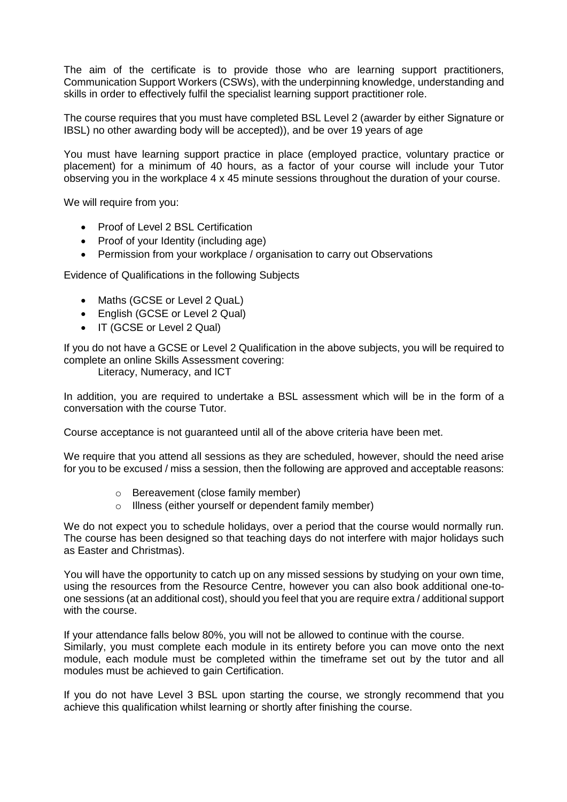The aim of the certificate is to provide those who are learning support practitioners, Communication Support Workers (CSWs), with the underpinning knowledge, understanding and skills in order to effectively fulfil the specialist learning support practitioner role.

The course requires that you must have completed BSL Level 2 (awarder by either Signature or IBSL) no other awarding body will be accepted)), and be over 19 years of age

You must have learning support practice in place (employed practice, voluntary practice or placement) for a minimum of 40 hours, as a factor of your course will include your Tutor observing you in the workplace 4 x 45 minute sessions throughout the duration of your course.

We will require from you:

- Proof of Level 2 BSL Certification
- Proof of your Identity (including age)
- Permission from your workplace / organisation to carry out Observations

Evidence of Qualifications in the following Subjects

- Maths (GCSE or Level 2 QuaL)
- English (GCSE or Level 2 Qual)
- IT (GCSE or Level 2 Qual)

If you do not have a GCSE or Level 2 Qualification in the above subjects, you will be required to complete an online Skills Assessment covering:

Literacy, Numeracy, and ICT

In addition, you are required to undertake a BSL assessment which will be in the form of a conversation with the course Tutor.

Course acceptance is not guaranteed until all of the above criteria have been met.

We require that you attend all sessions as they are scheduled, however, should the need arise for you to be excused / miss a session, then the following are approved and acceptable reasons:

- o Bereavement (close family member)
- o Illness (either yourself or dependent family member)

We do not expect you to schedule holidays, over a period that the course would normally run. The course has been designed so that teaching days do not interfere with major holidays such as Easter and Christmas).

You will have the opportunity to catch up on any missed sessions by studying on your own time, using the resources from the Resource Centre, however you can also book additional one-toone sessions (at an additional cost), should you feel that you are require extra / additional support with the course.

If your attendance falls below 80%, you will not be allowed to continue with the course. Similarly, you must complete each module in its entirety before you can move onto the next module, each module must be completed within the timeframe set out by the tutor and all modules must be achieved to gain Certification.

If you do not have Level 3 BSL upon starting the course, we strongly recommend that you achieve this qualification whilst learning or shortly after finishing the course.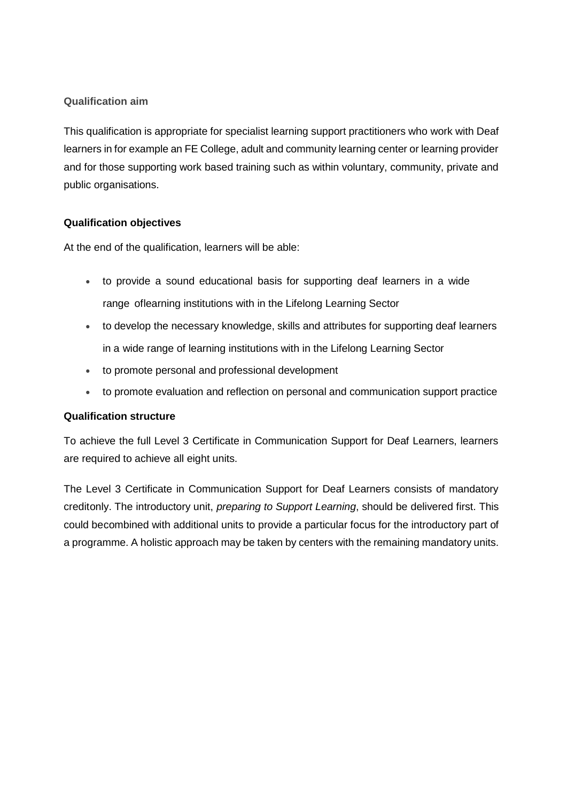## **Qualification aim**

This qualification is appropriate for specialist learning support practitioners who work with Deaf learners in for example an FE College, adult and community learning center or learning provider and for those supporting work based training such as within voluntary, community, private and public organisations.

### **Qualification objectives**

At the end of the qualification, learners will be able:

- to provide a sound educational basis for supporting deaf learners in a wide range oflearning institutions with in the Lifelong Learning Sector
- to develop the necessary knowledge, skills and attributes for supporting deaf learners in a wide range of learning institutions with in the Lifelong Learning Sector
- to promote personal and professional development
- to promote evaluation and reflection on personal and communication support practice

#### **Qualification structure**

To achieve the full Level 3 Certificate in Communication Support for Deaf Learners, learners are required to achieve all eight units.

The Level 3 Certificate in Communication Support for Deaf Learners consists of mandatory creditonly. The introductory unit, *preparing to Support Learning*, should be delivered first. This could becombined with additional units to provide a particular focus for the introductory part of a programme. A holistic approach may be taken by centers with the remaining mandatory units.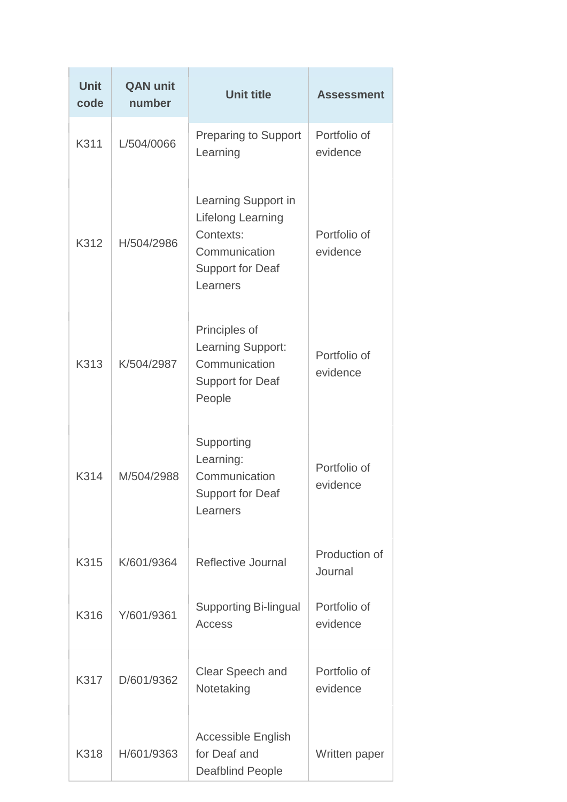| <b>Unit</b><br>code | <b>QAN unit</b><br>number | <b>Unit title</b>                                                                                                    | <b>Assessment</b>        |  |
|---------------------|---------------------------|----------------------------------------------------------------------------------------------------------------------|--------------------------|--|
| K311                | L/504/0066                | <b>Preparing to Support</b><br>Learning                                                                              | Portfolio of<br>evidence |  |
| K312                | H/504/2986                | Learning Support in<br><b>Lifelong Learning</b><br>Contexts:<br>Communication<br><b>Support for Deaf</b><br>Learners | Portfolio of<br>evidence |  |
| K313                | K/504/2987                | Principles of<br>Learning Support:<br>Communication<br><b>Support for Deaf</b><br>People                             | Portfolio of<br>evidence |  |
| K314                | M/504/2988                | Supporting<br>Learning:<br>Communication<br>Support for Deaf<br>Learners                                             | Portfolio of<br>evidence |  |
| K315                | K/601/9364                | <b>Reflective Journal</b>                                                                                            | Production of<br>Journal |  |
| K316                | Y/601/9361                | <b>Supporting Bi-lingual</b><br>Access                                                                               | Portfolio of<br>evidence |  |
| K317                | D/601/9362                | Clear Speech and<br>Notetaking                                                                                       | Portfolio of<br>evidence |  |
| K318                | H/601/9363                | <b>Accessible English</b><br>for Deaf and<br><b>Deafblind People</b>                                                 | Written paper            |  |